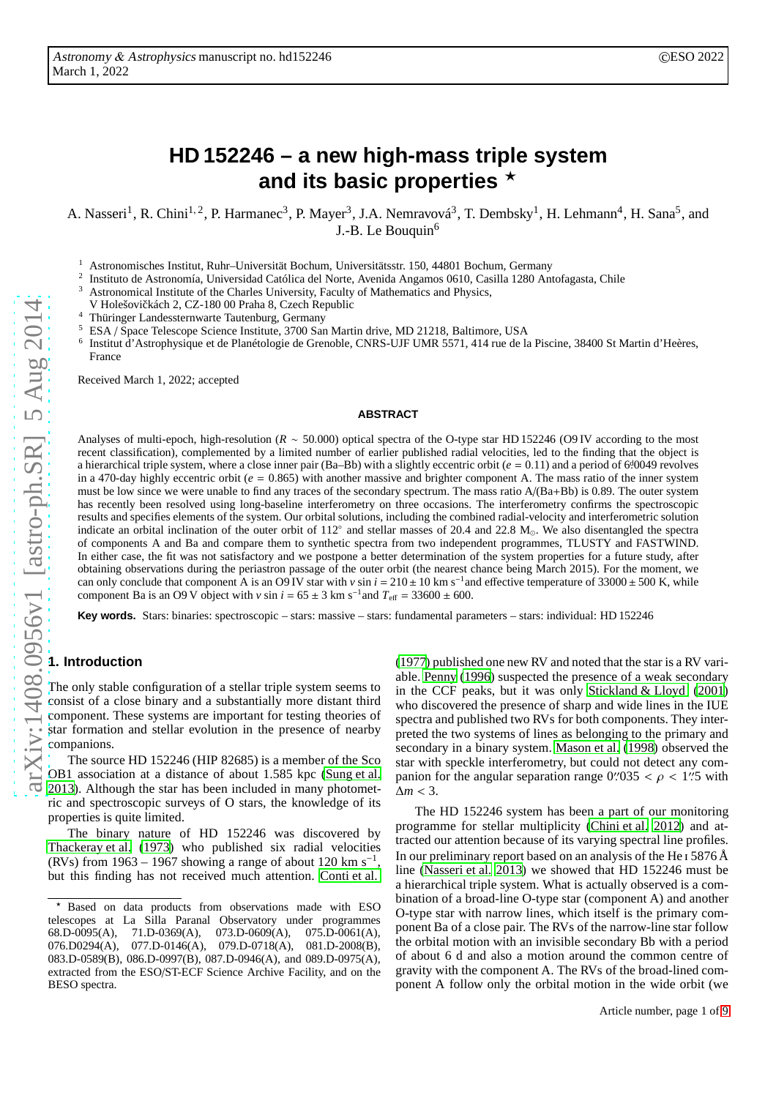# **HD 152246 – a new high-mass triple system** and its basic properties  $\star$

A. Nasseri<sup>1</sup>, R. Chini<sup>1, 2</sup>, P. Harmanec<sup>3</sup>, P. Mayer<sup>3</sup>, J.A. Nemravová<sup>3</sup>, T. Dembsky<sup>1</sup>, H. Lehmann<sup>4</sup>, H. Sana<sup>5</sup>, and J.-B. Le Bouquin<sup>6</sup>

<sup>1</sup> Astronomisches Institut, Ruhr–Universität Bochum, Universitätsstr. 150, 44801 Bochum, Germany<br><sup>2</sup> Institute de Astronomía Universided Cetálies del Norte, Avenide Angemes 0610 Cesilla 1280 Ant

2 Instituto de Astronomía, Universidad Católica del Norte, Avenida Angamos 0610, Casilla 1280 Antofagasta, Chile

Astronomical Institute of the Charles University, Faculty of Mathematics and Physics,

V Holešovičkách 2, CZ-180 00 Praha 8, Czech Republic

<sup>4</sup> Thüringer Landessternwarte Tautenburg, Germany

<sup>5</sup> ESA / Space Telescope Science Institute, 3700 San Martin drive, MD 21218, Baltimore, USA

6 Institut d'Astrophysique et de Planétologie de Grenoble, CNRS-UJF UMR 5571, 414 rue de la Piscine, 38400 St Martin d'Heères, France

Received March 1, 2022; accepted

#### **ABSTRACT**

Analyses of multi-epoch, high-resolution (*R* ∼ 50.000) optical spectra of the O-type star HD 152246 (O9 IV according to the most recent classification), complemented by a limited number of earlier published radial velocities, led to the finding that the object is a hierarchical triple system, where a close inner pair (Ba–Bb) with a slightly eccentric orbit ( $e = 0.11$ ) and a period of 6<sup>d</sup>:0049 revolves in a 470-day highly eccentric orbit ( $e = 0.865$ ) with another massive and brighter component A. The mass ratio of the inner system must be low since we were unable to find any traces of the secondary spectrum. The mass ratio A/(Ba+Bb) is 0.89. The outer system has recently been resolved using long-baseline interferometry on three occasions. The interferometry confirms the spectroscopic results and specifies elements of the system. Our orbital solutions, including the combined radial-velocity and interferometric solution indicate an orbital inclination of the outer orbit of 112◦ indicate an orbital inclination of the outer orbit of  $112^{\circ}$  and stellar masses of 20.4 and 22.8 M<sub>o</sub>. We also disentangled the spectra of components A and Ba and compare them to synthetic spectra from two independent programmes, TLUSTY and FASTWIND. In either case, the fit was not satisfactory and we postpone a better determination of the system properties for a future study, after obtaining observations during the periastron passage of the outer orbit (the nearest chance being March 2015). For the moment, we can only conclude that component A is an O9 IV star with  $v \sin i = 210 \pm 10$  km s<sup>-1</sup> and effective temperature of 33000 ± 500 K, while component Ba is an O9 V object with  $v \sin i = 65 \pm 3$  km s<sup>-1</sup> component Ba is an O9 V object with  $v \sin i = 65 \pm 3$  km s<sup>-1</sup> and  $T_{\text{eff}} = 33600 \pm 600$ .

**Key words.** Stars: binaries: spectroscopic – stars: massive – stars: fundamental parameters – stars: individual: HD 152246

## **1. Introduction**

The only stable configuration of a stellar triple system seems to consist of a close binary and a substantially more distant third component. These systems are important for testing theories of star formation and stellar evolution in the presence of nearby companions.

The source HD 152246 (HIP 82685) is a member of the Sco OB1 association at a distance of about 1.585 kpc [\(Sung et al.](#page-8-0) [2013\)](#page-8-0). Although the star has been included in many photometric and spectroscopic surveys of O stars, the knowledge of its properties is quite limited.

The binary nature of HD 152246 was discovered by [Thackeray et al. \(1973\)](#page-8-1) who published six radial velocities (RVs) from 1963 – 1967 showing a range of about 120 km s<sup>-1</sup>, but this finding has not received much attention. [Conti et al.](#page-8-2)

[\(1977\)](#page-8-2) published one new RV and noted that the star is a RV variable. [Penny \(1996\)](#page-8-3) suspected the presence of a weak secondary in the CCF peaks, but it was only [Stickland & Lloyd \(2001](#page-8-4)) who discovered the presence of sharp and wide lines in the IUE spectra and published two RVs for both components. They interpreted the two systems of lines as belonging to the primary and secondary in a binary system. [Mason et al. \(1998\)](#page-8-5) observed the star with speckle interferometry, but could not detect any companion for the angular separation range  $0''/035 < \rho < 1''/5$  with ∆*m* < 3.

The HD 152246 system has been a part of our monitoring programme for stellar multiplicity [\(Chini et al. 2012\)](#page-8-6) and attracted our attention because of its varying spectral line profiles. In our preliminary report based on an analysis of the He  $\rm I$  5876 Å line [\(Nasseri et al. 2013\)](#page-8-7) we showed that HD 152246 must be a hierarchical triple system. What is actually observed is a combination of a broad-line O-type star (component A) and another O-type star with narrow lines, which itself is the primary component Ba of a close pair. The RVs of the narrow-line star follow the orbital motion with an invisible secondary Bb with a period of about 6 d and also a motion around the common centre of gravity with the component A. The RVs of the broad-lined component A follow only the orbital motion in the wide orbit (we

<sup>⋆</sup> Based on data products from observations made with ESO telescopes at La Silla Paranal Observatory under programmes  $68.D.0095(A), 71.D.0369(A), 073.D.0609(A), 075.D.0061(A),$ 71.D-0369(A), 073.D-0609(A), 076.D0294(A), 077.D-0146(A), 079.D-0718(A), 081.D-2008(B), 083.D-0589(B), 086.D-0997(B), 087.D-0946(A), and 089.D-0975(A), extracted from the ESO/ST-ECF Science Archive Facility, and on the BESO spectra.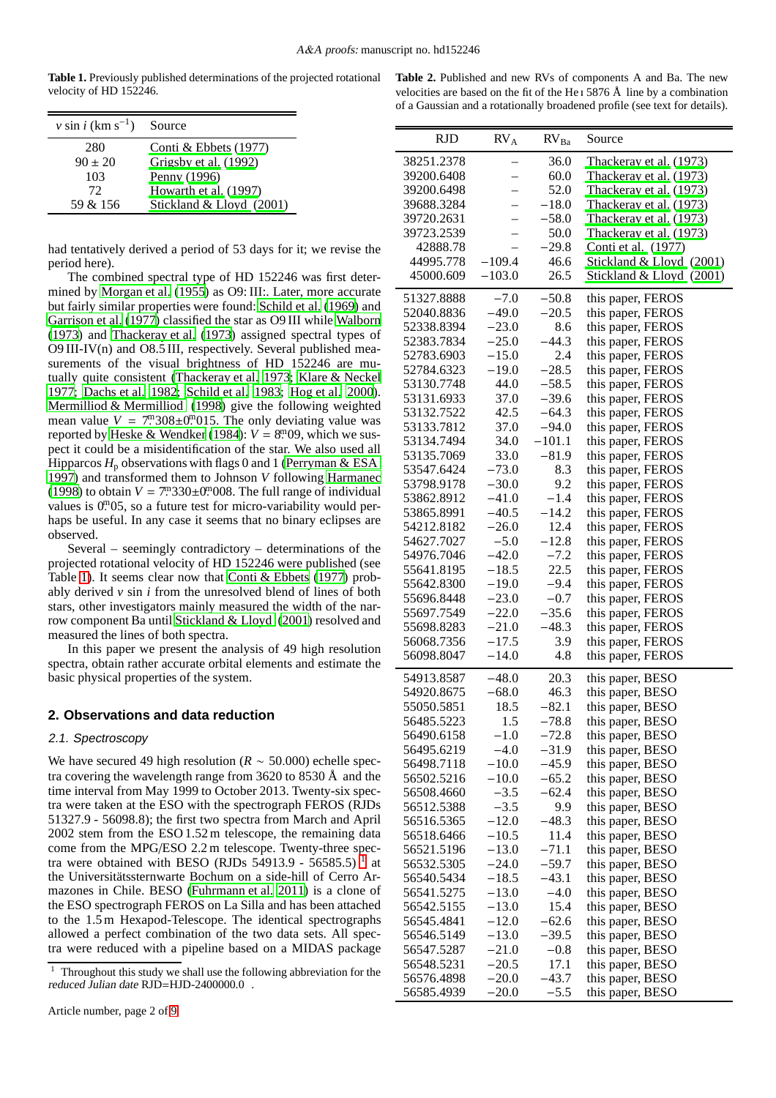<span id="page-1-0"></span>**Table 1.** Previously published determinations of the projected rotational velocity of HD 152246.

| $v \sin i$ (km s <sup>-1</sup> ) | Source                   |
|----------------------------------|--------------------------|
| 280                              | Conti & Ebbets $(1977)$  |
| $90 \pm 20$                      | Grigsby et al. (1992)    |
| 103                              | Penny (1996)             |
| 72.                              | Howarth et al. (1997)    |
| 59 & 156                         | Stickland & Lloyd (2001) |

had tentatively derived a period of 53 days for it; we revise the period here).

The combined spectral type of HD 152246 was first determined by [Morgan et al. \(1955\)](#page-8-12) as O9: III:. Later, more accurate but fairly similar properties were found: [Schild et al. \(1969\)](#page-8-13) and [Garrison et al. \(1977\)](#page-8-14) classified the star as O9 III while [Walborn](#page-8-15) [\(1973](#page-8-15)) and [Thackeray et al. \(1973\)](#page-8-1) assigned spectral types of O9 III-IV(n) and O8.5 III, respectively. Several published measurements of the visual brightness of HD 152246 are mutually quite consistent [\(Thackeray et al. 1973](#page-8-1); [Klare & Neckel](#page-8-16) [1977;](#page-8-16) [Dachs et al. 1982;](#page-8-17) [Schild et al. 1983](#page-8-18); [Hog et al. 2000](#page-8-19)). [Mermilliod & Mermilliod \(1998\)](#page-8-20) give the following weighted mean value  $V = 7^{\text{m}} 308 \pm 0^{\text{m}} 015$ . The only deviating value was reported by [Heske & Wendker \(1984\)](#page-8-21):  $V = 8^{m}09$ , which we suspect it could be a misidentification of the star. We also used all Hipparcos  $H_p$  observations with flags 0 and 1 [\(Perryman & ESA](#page-8-22)) [1997\)](#page-8-22) and transformed them to Johnson *V* following [Harmanec](#page-8-23) [\(1998](#page-8-23)) to obtain  $V = 7^{\text{m}} 330 \pm 0^{\text{m}} 008$ . The full range of individual values is 0.0.05, so a future test for micro-variability would perhaps be useful. In any case it seems that no binary eclipses are observed.

Several – seemingly contradictory – determinations of the projected rotational velocity of HD 152246 were published (see Table [1\)](#page-1-0). It seems clear now that [Conti & Ebbets](#page-8-9) [\(1977\)](#page-8-9) probably derived  $\nu$  sin  $i$  from the unresolved blend of lines of both stars, other investigators mainly measured the width of the narrow component Ba until [Stickland & Lloyd \(2001\)](#page-8-4) resolved and measured the lines of both spectra.

In this paper we present the analysis of 49 high resolution spectra, obtain rather accurate orbital elements and estimate the basic physical properties of the system.

## **2. Observations and data reduction**

#### 2.1. Spectroscopy

We have secured 49 high resolution (*R* ∼ 50.000) echelle spectra covering the wavelength range from  $3620$  to  $8530 \text{ Å}$  and the time interval from May 1999 to October 2013. Twenty-six spectra were taken at the ESO with the spectrograph FEROS (RJDs 51327.9 - 56098.8); the first two spectra from March and April 2002 stem from the ESO 1.52 m telescope, the remaining data come from the MPG/ESO 2.2 m telescope. Twenty-three spectra were obtained with BESO (RJDs  $54913.9 - 56585.5$  $54913.9 - 56585.5$  $54913.9 - 56585.5$ )<sup>1</sup> at the Universitätssternwarte Bochum on a side-hill of Cerro Armazones in Chile. BESO [\(Fuhrmann et al. 2011](#page-8-24)) is a clone of the ESO spectrograph FEROS on La Silla and has been attached to the 1.5 m Hexapod-Telescope. The identical spectrographs allowed a perfect combination of the two data sets. All spectra were reduced with a pipeline based on a MIDAS package

<span id="page-1-2"></span>

| Table 2. Published and new RVs of components A and Ba. The new                          |
|-----------------------------------------------------------------------------------------|
| velocities are based on the fit of the He <sub>1</sub> 5876 $\AA$ line by a combination |
| of a Gaussian and a rotationally broadened profile (see text for details).              |

| <b>RJD</b>               | RV <sub>A</sub>    | $RV_{Ba}$         | Source                                 |
|--------------------------|--------------------|-------------------|----------------------------------------|
| 38251.2378               |                    | 36.0              | Thackeray et al. (1973)                |
| 39200.6408               |                    | 60.0              | Thackeray et al. (1973)                |
| 39200.6498               |                    | 52.0              | Thackeray et al. (1973)                |
| 39688.3284               |                    | $-18.0$           | Thackeray et al. (1973)                |
| 39720.2631               |                    | $-58.0$           | Thackeray et al. (1973)                |
| 39723.2539               |                    | 50.0              | Thackeray et al. (1973)                |
| 42888.78                 |                    | $-29.8$           | Conti et al. (1977)                    |
| 44995.778                | $-109.4$           | 46.6              | Stickland & Lloyd (2001)               |
| 45000.609                | $-103.0$           | 26.5              | Stickland & Lloyd (2001)               |
| 51327.8888               | $-7.0$             | $-50.8$           | this paper, FEROS                      |
| 52040.8836               | $-49.0$            | $-20.5$           | this paper, FEROS                      |
| 52338.8394               | $-23.0$            | 8.6               | this paper, FEROS                      |
| 52383.7834               | $-25.0$            | $-44.3$           | this paper, FEROS                      |
| 52783.6903               | $-15.0$            | 2.4               | this paper, FEROS                      |
| 52784.6323               | $-19.0$            | $-28.5$           | this paper, FEROS                      |
| 53130.7748               | 44.0               | $-58.5$           | this paper, FEROS                      |
| 53131.6933               | 37.0               | $-39.6$           | this paper, FEROS                      |
| 53132.7522               | 42.5               | $-64.3$           |                                        |
| 53133.7812               | 37.0               | -94.0             | this paper, FEROS<br>this paper, FEROS |
| 53134.7494               | 34.0               | $-101.1$          |                                        |
| 53135.7069               | 33.0               | $-81.9$           | this paper, FEROS                      |
| 53547.6424               | $-73.0$            | 8.3               | this paper, FEROS                      |
| 53798.9178               |                    | 9.2               | this paper, FEROS                      |
| 53862.8912               | $-30.0$            | $-1.4$            | this paper, FEROS                      |
|                          | $-41.0$            |                   | this paper, FEROS                      |
| 53865.8991               | $-40.5$            | $-14.2$           | this paper, FEROS                      |
| 54212.8182               | $-26.0$<br>$-5.0$  | 12.4<br>$-12.8$   | this paper, FEROS                      |
| 54627.7027<br>54976.7046 | $-42.0$            | $-7.2$            | this paper, FEROS                      |
|                          |                    | 22.5              | this paper, FEROS                      |
| 55641.8195               | $-18.5$            |                   | this paper, FEROS                      |
| 55642.8300               | $-19.0$            | $-9.4$            | this paper, FEROS                      |
| 55696.8448               | $-23.0$            | $-0.7$<br>$-35.6$ | this paper, FEROS                      |
| 55697.7549<br>55698.8283 | $-22.0$            | $-48.3$           | this paper, FEROS                      |
| 56068.7356               | $-21.0$            | 3.9               | this paper, FEROS                      |
| 56098.8047               | $-17.5$<br>$-14.0$ | 4.8               | this paper, FEROS                      |
|                          |                    |                   | this paper, FEROS                      |
| 54913.8587               | $-48.0$            | 20.3              | this paper, BESO                       |
| 54920.8675               | $-68.0$            | 46.3              | this paper, BESO                       |
| 55050.5851               | 18.5               | $-82.1$           | this paper, BESO                       |
| 56485.5223               | 1.5                | $-78.8$           | this paper, BESO                       |
| 56490.6158               | $-1.0$             | $-72.8$           | this paper, BESO                       |
| 56495.6219               | $-4.0$             | $-31.9$           | this paper, BESO                       |
| 56498.7118               | $-10.0$            | $-45.9$           | this paper, BESO                       |
| 56502.5216               | $-10.0$            | $-65.2$           | this paper, BESO                       |
| 56508.4660               | $-3.5$             | $-62.4$           | this paper, BESO                       |
| 56512.5388               | $-3.5$             | 9.9               | this paper, BESO                       |
| 56516.5365               | $-12.0$            | $-48.3$           | this paper, BESO                       |
| 56518.6466               | $-10.5$            | 11.4              | this paper, BESO                       |
| 56521.5196               | $-13.0$            | $-71.1$           | this paper, BESO                       |
| 56532.5305               | $-24.0$            | $-59.7$           | this paper, BESO                       |
| 56540.5434               | $-18.5$            | $-43.1$           | this paper, BESO                       |
| 56541.5275               | $-13.0$            | $-4.0$            | this paper, BESO                       |
| 56542.5155               | $-13.0$            | 15.4              | this paper, BESO                       |
| 56545.4841               | $-12.0$            | $-62.6$           | this paper, BESO                       |
| 56546.5149               | $-13.0$            | $-39.5$           | this paper, BESO                       |
| 56547.5287               | $-21.0$            | $-0.8$            | this paper, BESO                       |
| 56548.5231               | $-20.5$            | 17.1              | this paper, BESO                       |
| 56576.4898               | $-20.0$            | $-43.7$           | this paper, BESO                       |
| 56585.4939               | $-20.0$            | $-5.5$            | this paper, BESO                       |

<span id="page-1-1"></span> $1$  Throughout this study we shall use the following abbreviation for the reduced Julian date RJD=HJD-2400000.0 .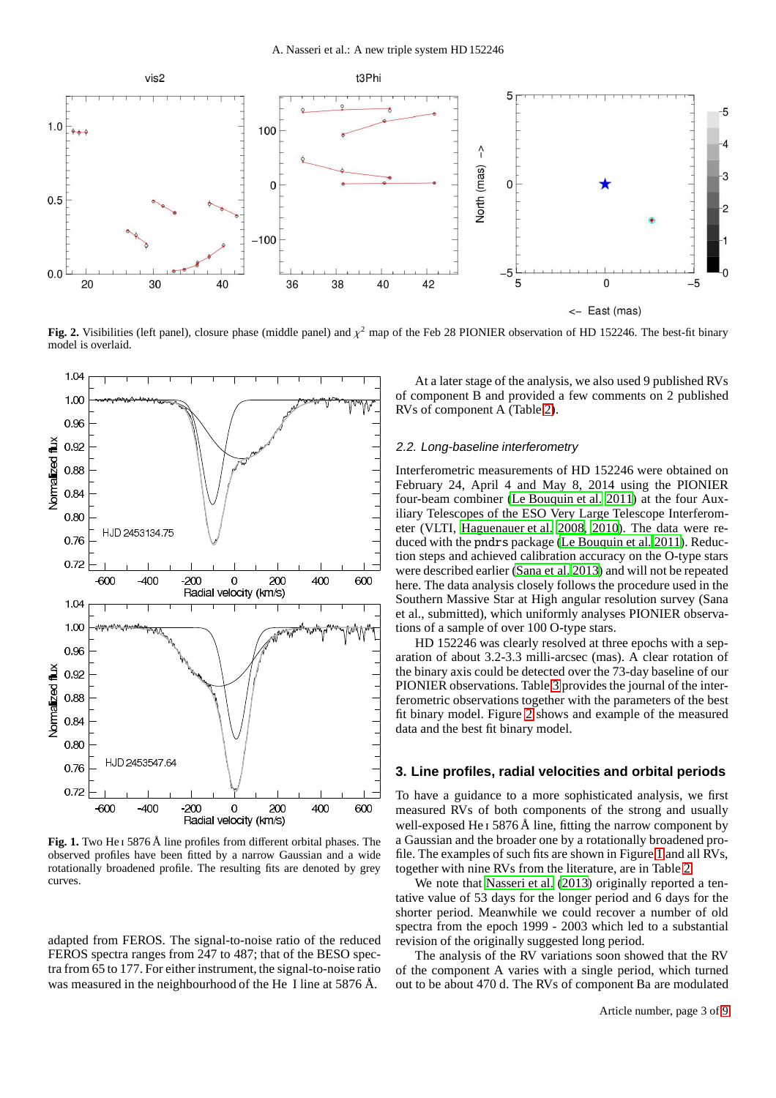

<span id="page-2-0"></span>**Fig. 2.** Visibilities (left panel), closure phase (middle panel) and  $\chi^2$  map of the Feb 28 PIONIER observation of HD 152246. The best-fit binary model is overlaid.



<span id="page-2-1"></span>**Fig. 1.** Two He i 5876 Å line profiles from different orbital phases. The observed profiles have been fitted by a narrow Gaussian and a wide rotationally broadened profile. The resulting fits are denoted by grey curves.

adapted from FEROS. The signal-to-noise ratio of the reduced FEROS spectra ranges from 247 to 487; that of the BESO spectra from 65 to 177. For either instrument, the signal-to-noise ratio was measured in the neighbourhood of the He I line at 5876 Å.

At a later stage of the analysis, we also used 9 published RVs of component B and provided a few comments on 2 published RVs of component A (Table [2\)](#page-1-2).

#### 2.2. Long-baseline interferometry

Interferometric measurements of HD 152246 were obtained on February 24, April 4 and May 8, 2014 using the PIONIER four-beam combiner [\(Le Bouquin et al. 2011\)](#page-8-25) at the four Auxiliary Telescopes of the ESO Very Large Telescope Interferometer (VLTI, [Haguenauer et al. 2008,](#page-8-26) [2010](#page-8-27)). The data were reduced with the pndrs package [\(Le Bouquin et al. 2011\)](#page-8-25). Reduction steps and achieved calibration accuracy on the O-type stars were described earlier [\(Sana et al. 2013](#page-8-28)) and will not be repeated here. The data analysis closely follows the procedure used in the Southern Massive Star at High angular resolution survey (Sana et al., submitted), which uniformly analyses PIONIER observations of a sample of over 100 O-type stars.

HD 152246 was clearly resolved at three epochs with a separation of about 3.2-3.3 milli-arcsec (mas). A clear rotation of the binary axis could be detected over the 73-day baseline of our PIONIER observations. Table [3](#page-3-0) provides the journal of the interferometric observations together with the parameters of the best fit binary model. Figure [2](#page-2-0) shows and example of the measured data and the best fit binary model.

#### **3. Line profiles, radial velocities and orbital periods**

To have a guidance to a more sophisticated analysis, we first measured RVs of both components of the strong and usually well-exposed He  $\overline{1}$  5876 Å line, fitting the narrow component by a Gaussian and the broader one by a rotationally broadened profile. The examples of such fits are shown in Figure [1](#page-2-1) and all RVs, together with nine RVs from the literature, are in Table [2.](#page-1-2)

We note that [Nasseri et al. \(2013\)](#page-8-7) originally reported a tentative value of 53 days for the longer period and 6 days for the shorter period. Meanwhile we could recover a number of old spectra from the epoch 1999 - 2003 which led to a substantial revision of the originally suggested long period.

The analysis of the RV variations soon showed that the RV of the component A varies with a single period, which turned out to be about 470 d. The RVs of component Ba are modulated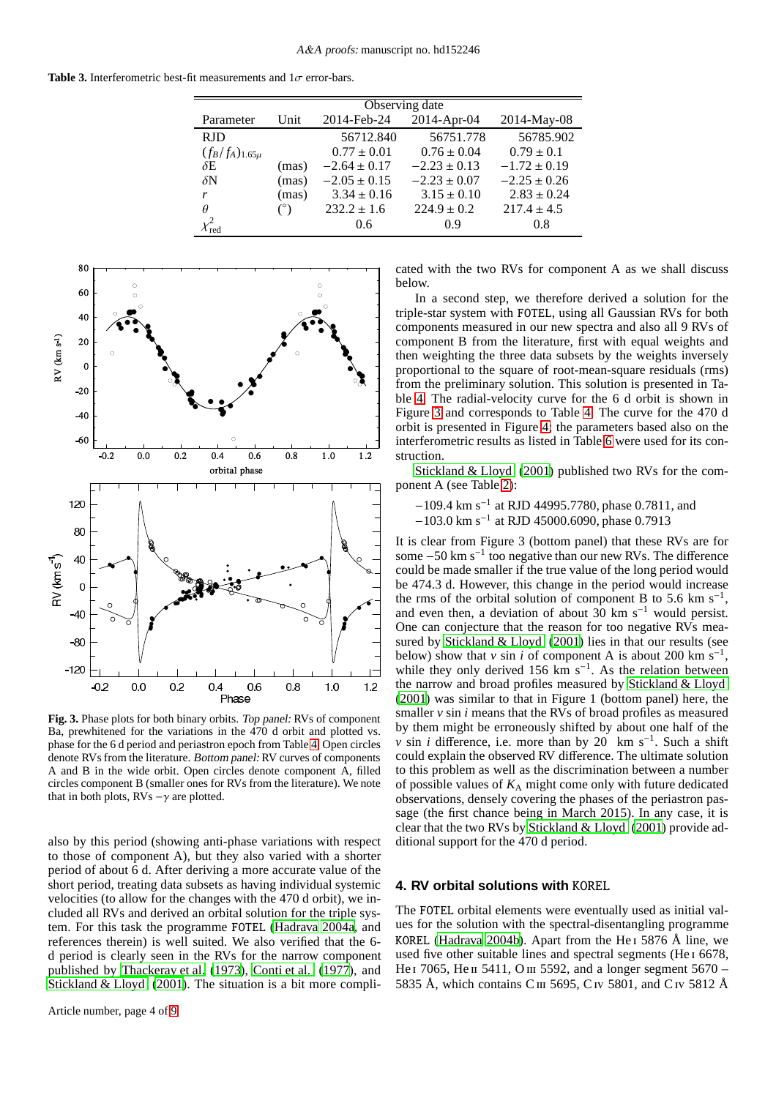<span id="page-3-0"></span>**Table 3.** Interferometric best-fit measurements and  $1\sigma$  error-bars.

|                       | Observing date |                  |                  |                  |  |
|-----------------------|----------------|------------------|------------------|------------------|--|
| Parameter             | Unit           | 2014-Feb-24      | 2014-Apr-04      | 2014-May-08      |  |
| <b>RJD</b>            |                | 56712.840        | 56751.778        | 56785.902        |  |
| $(f_B/f_A)_{1.65\mu}$ |                | $0.77 \pm 0.01$  | $0.76 \pm 0.04$  | $0.79 \pm 0.1$   |  |
| $\delta E$            | (mas)          | $-2.64 \pm 0.17$ | $-2.23 \pm 0.13$ | $-1.72 \pm 0.19$ |  |
| $\delta N$            | (mas)          | $-2.05 \pm 0.15$ | $-2.23 \pm 0.07$ | $-2.25 \pm 0.26$ |  |
| r                     | (mas)          | $3.34 \pm 0.16$  | $3.15 \pm 0.10$  | $2.83 \pm 0.24$  |  |
| $\theta$              | $(^\circ)$     | $232.2 \pm 1.6$  | $224.9 \pm 0.2$  | $217.4 \pm 4.5$  |  |
|                       |                | 0.6              | 0.9              | 0.8              |  |



<span id="page-3-1"></span>**Fig. 3.** Phase plots for both binary orbits. Top panel: RVs of component Ba, prewhitened for the variations in the 470 d orbit and plotted vs. phase for the 6 d period and periastron epoch from Table [4.](#page-4-0) Open circles denote RVs from the literature. Bottom panel: RV curves of components A and B in the wide orbit. Open circles denote component A, filled circles component B (smaller ones for RVs from the literature). We note that in both plots,  $RVs -\gamma$  are plotted.

also by this period (showing anti-phase variations with respect to those of component A), but they also varied with a shorter period of about 6 d. After deriving a more accurate value of the short period, treating data subsets as having individual systemic velocities (to allow for the changes with the 470 d orbit), we included all RVs and derived an orbital solution for the triple system. For this task the programme FOTEL [\(Hadrava 2004a,](#page-8-29) and references therein) is well suited. We also verified that the 6 d period is clearly seen in the RVs for the narrow component published by [Thackeray et al.](#page-8-1) [\(1973\)](#page-8-1), [Conti et al. \(1977\)](#page-8-2), and [Stickland & Lloyd \(2001](#page-8-4)). The situation is a bit more complicated with the two RVs for component A as we shall discuss below.

In a second step, we therefore derived a solution for the triple-star system with FOTEL, using all Gaussian RVs for both components measured in our new spectra and also all 9 RVs of component B from the literature, first with equal weights and then weighting the three data subsets by the weights inversely proportional to the square of root-mean-square residuals (rms) from the preliminary solution. This solution is presented in Table [4.](#page-4-0) The radial-velocity curve for the 6 d orbit is shown in Figure [3](#page-3-1) and corresponds to Table [4.](#page-4-0) The curve for the 470 d orbit is presented in Figure [4;](#page-5-0) the parameters based also on the interferometric results as listed in Table [6](#page-5-1) were used for its construction.

[Stickland & Lloyd \(2001\)](#page-8-4) published two RVs for the component A (see Table [2\)](#page-1-2):

- −109.4 km s−<sup>1</sup> at RJD 44995.7780, phase 0.7811, and
- −103.0 km s−<sup>1</sup> at RJD 45000.6090, phase 0.7913

It is clear from Figure 3 (bottom panel) that these RVs are for some  $-50 \text{ km s}^{-1}$  too negative than our new RVs. The difference could be made smaller if the true value of the long period would be 474.3 d. However, this change in the period would increase the rms of the orbital solution of component B to 5.6 km  $s^{-1}$ , and even then, a deviation of about  $30 \text{ km s}^{-1}$  would persist. One can conjecture that the reason for too negative RVs measured by [Stickland & Lloyd \(2001](#page-8-4)) lies in that our results (see below) show that *v* sin *i* of component A is about 200 km s<sup>-1</sup>, while they only derived 156 km s<sup>-1</sup>. As the relation between the narrow and broad profiles measured by [Stickland & Lloyd](#page-8-4) [\(2001\)](#page-8-4) was similar to that in Figure 1 (bottom panel) here, the smaller *v* sin *i* means that the RVs of broad profiles as measured by them might be erroneously shifted by about one half of the *v* sin *i* difference, i.e. more than by 20 km s<sup>-1</sup>. Such a shift could explain the observed RV difference. The ultimate solution to this problem as well as the discrimination between a number of possible values of *K*<sup>A</sup> might come only with future dedicated observations, densely covering the phases of the periastron passage (the first chance being in March 2015). In any case, it is clear that the two RVs by [Stickland & Lloyd](#page-8-4) [\(2001\)](#page-8-4) provide additional support for the 470 d period.

#### **4. RV orbital solutions with** KOREL

The FOTEL orbital elements were eventually used as initial values for the solution with the spectral-disentangling programme KOREL [\(Hadrava 2004b](#page-8-30)). Apart from the He<sub>1</sub> 5876 Å line, we used five other suitable lines and spectral segments (He<sub>I</sub> 6678, He  $\,$  7065, He  $\,$  1 5411, O  $\,$  11 5592, and a longer segment 5670 – 5835 Å, which contains C III 5695, C Iv 5801, and C Iv 5812 Å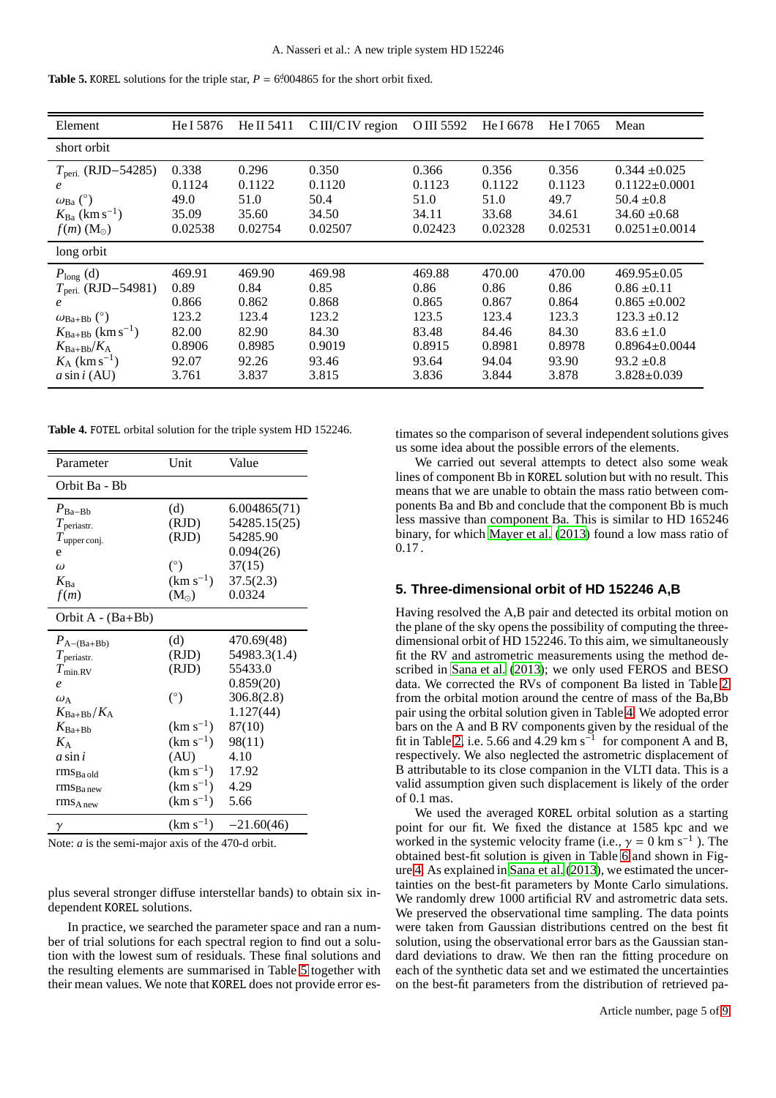<span id="page-4-1"></span>

|--|--|

| Element                                                                                                                                                                                   | He I 5876                                                             | He II 5411                                                            | CIII/CIV region                                                       | O III 5592                                                            | He I 6678                                                             | He I 7065                                                             | Mean                                                                                                                                                          |
|-------------------------------------------------------------------------------------------------------------------------------------------------------------------------------------------|-----------------------------------------------------------------------|-----------------------------------------------------------------------|-----------------------------------------------------------------------|-----------------------------------------------------------------------|-----------------------------------------------------------------------|-----------------------------------------------------------------------|---------------------------------------------------------------------------------------------------------------------------------------------------------------|
| short orbit                                                                                                                                                                               |                                                                       |                                                                       |                                                                       |                                                                       |                                                                       |                                                                       |                                                                                                                                                               |
| $T_{\text{peri.}}$ (RJD-54285)<br>e<br>$\omega_{\rm Ba}$ (°)<br>$K_{Ba}$ (km s <sup>-1</sup> )<br>$f(m)$ (M <sub><math>\odot</math></sub> )                                               | 0.338<br>0.1124<br>49.0<br>35.09<br>0.02538                           | 0.296<br>0.1122<br>51.0<br>35.60<br>0.02754                           | 0.350<br>0.1120<br>50.4<br>34.50<br>0.02507                           | 0.366<br>0.1123<br>51.0<br>34.11<br>0.02423                           | 0.356<br>0.1122<br>51.0<br>33.68<br>0.02328                           | 0.356<br>0.1123<br>49.7<br>34.61<br>0.02531                           | $0.344 \pm 0.025$<br>$0.1122 \pm 0.0001$<br>$50.4 \pm 0.8$<br>$34.60 \pm 0.68$<br>$0.0251 \pm 0.0014$                                                         |
| long orbit                                                                                                                                                                                |                                                                       |                                                                       |                                                                       |                                                                       |                                                                       |                                                                       |                                                                                                                                                               |
| $P_{\text{long}}$ (d)<br>$T_{\text{peri.}}$ (RJD-54981)<br>$\omega_{Ba+Bb}$ (°)<br>$K_{Ba+Bb}$ (km s <sup>-1</sup> )<br>$K_{Ba+Bb}/K_A$<br>$K_A$ (km s <sup>-1</sup> )<br>$a \sin i$ (AU) | 469.91<br>0.89<br>0.866<br>123.2<br>82.00<br>0.8906<br>92.07<br>3.761 | 469.90<br>0.84<br>0.862<br>123.4<br>82.90<br>0.8985<br>92.26<br>3.837 | 469.98<br>0.85<br>0.868<br>123.2<br>84.30<br>0.9019<br>93.46<br>3.815 | 469.88<br>0.86<br>0.865<br>123.5<br>83.48<br>0.8915<br>93.64<br>3.836 | 470.00<br>0.86<br>0.867<br>123.4<br>84.46<br>0.8981<br>94.04<br>3.844 | 470.00<br>0.86<br>0.864<br>123.3<br>84.30<br>0.8978<br>93.90<br>3.878 | $469.95 \pm 0.05$<br>$0.86 \pm 0.11$<br>$0.865 \pm 0.002$<br>$123.3 \pm 0.12$<br>$83.6 \pm 1.0$<br>$0.8964 \pm 0.0044$<br>$93.2 \pm 0.8$<br>$3.828 \pm 0.039$ |

**Table 4.** FOTEL orbital solution for the triple system HD 152246.

<span id="page-4-0"></span>

| Parameter                            | Unit          | Value                    |
|--------------------------------------|---------------|--------------------------|
| Orbit Ba - Bb                        |               |                          |
| $P_{Ba-Bb}$                          | (d)           | 6.004865(71)             |
| $T_{\text{periast}}$                 | (RJD)         | 54285.15(25)             |
| $T_{\text{upper conj.}}$             | (RJD)         | 54285.90                 |
| e                                    |               | 0.094(26)                |
| $\omega$                             | $(^\circ)$    | 37(15)                   |
| $K_{Ba}$                             | $(km s^{-1})$ | 37.5(2.3)                |
| f(m)                                 | $(M_{\odot})$ | 0.0324                   |
| Orbit $A - (Ba + Bb)$                |               |                          |
| $P_{\text{A}-(\text{Ba}+\text{Bb})}$ | (d)           | 470.69(48)               |
| $T_{\text{periast}}$                 | (RJD)         | 54983.3(1.4)             |
| $T_{\rm min,RV}$                     | (RJD)         | 55433.0                  |
| $\ell$                               |               | 0.859(20)                |
| $\omega_A$                           | $(^\circ)$    | 306.8(2.8)               |
| $K_{Ba+Bb}/K_A$                      |               | 1.127(44)                |
| $K_{Ba+Bb}$                          | $(km s^{-1})$ | 87(10)                   |
| $K_{\rm A}$                          | $(km s^{-1})$ | 98(11)                   |
| $a \sin i$                           | (AU)          | 4.10                     |
| $rmsBa$ old                          | $(km s^{-1})$ | 17.92                    |
| $rms_{Banew}$                        | $(km s^{-1})$ | 4.29                     |
| $rms_{A new}$                        | $(km s^{-1})$ | 5.66                     |
| γ                                    |               | $(km s^{-1})$ -21.60(46) |

Note: *a* is the semi-major axis of the 470-d orbit.

plus several stronger diffuse interstellar bands) to obtain six independent KOREL solutions.

In practice, we searched the parameter space and ran a number of trial solutions for each spectral region to find out a solution with the lowest sum of residuals. These final solutions and the resulting elements are summarised in Table [5](#page-4-1) together with their mean values. We note that KOREL does not provide error estimates so the comparison of several independent solutions gives us some idea about the possible errors of the elements.

We carried out several attempts to detect also some weak lines of component Bb in KOREL solution but with no result. This means that we are unable to obtain the mass ratio between components Ba and Bb and conclude that the component Bb is much less massive than component Ba. This is similar to HD 165246 binary, for which [Mayer et al. \(2013](#page-8-31)) found a low mass ratio of 0.17 .

#### **5. Three-dimensional orbit of HD 152246 A,B**

Having resolved the A,B pair and detected its orbital motion on the plane of the sky opens the possibility of computing the threedimensional orbit of HD 152246. To this aim, we simultaneously fit the RV and astrometric measurements using the method described in [Sana et al. \(2013\)](#page-8-28); we only used FEROS and BESO data. We corrected the RVs of component Ba listed in Table [2](#page-1-2) from the orbital motion around the centre of mass of the Ba,Bb pair using the orbital solution given in Table [4.](#page-4-0) We adopted error bars on the A and B RV components given by the residual of the fit in Table [2,](#page-1-2) i.e. 5.66 and  $4.29 \text{ km s}^{-1}$  for component A and B, respectively. We also neglected the astrometric displacement of B attributable to its close companion in the VLTI data. This is a valid assumption given such displacement is likely of the order of 0.1 mas.

We used the averaged KOREL orbital solution as a starting point for our fit. We fixed the distance at 1585 kpc and we worked in the systemic velocity frame (i.e.,  $\gamma = 0 \text{ km s}^{-1}$ ). The obtained best-fit solution is given in Table [6](#page-5-1) and shown in Figure [4.](#page-5-0) As explained in [Sana et al.](#page-8-28) [\(2013\)](#page-8-28), we estimated the uncertainties on the best-fit parameters by Monte Carlo simulations. We randomly drew 1000 artificial RV and astrometric data sets. We preserved the observational time sampling. The data points were taken from Gaussian distributions centred on the best fit solution, using the observational error bars as the Gaussian standard deviations to draw. We then ran the fitting procedure on each of the synthetic data set and we estimated the uncertainties on the best-fit parameters from the distribution of retrieved pa-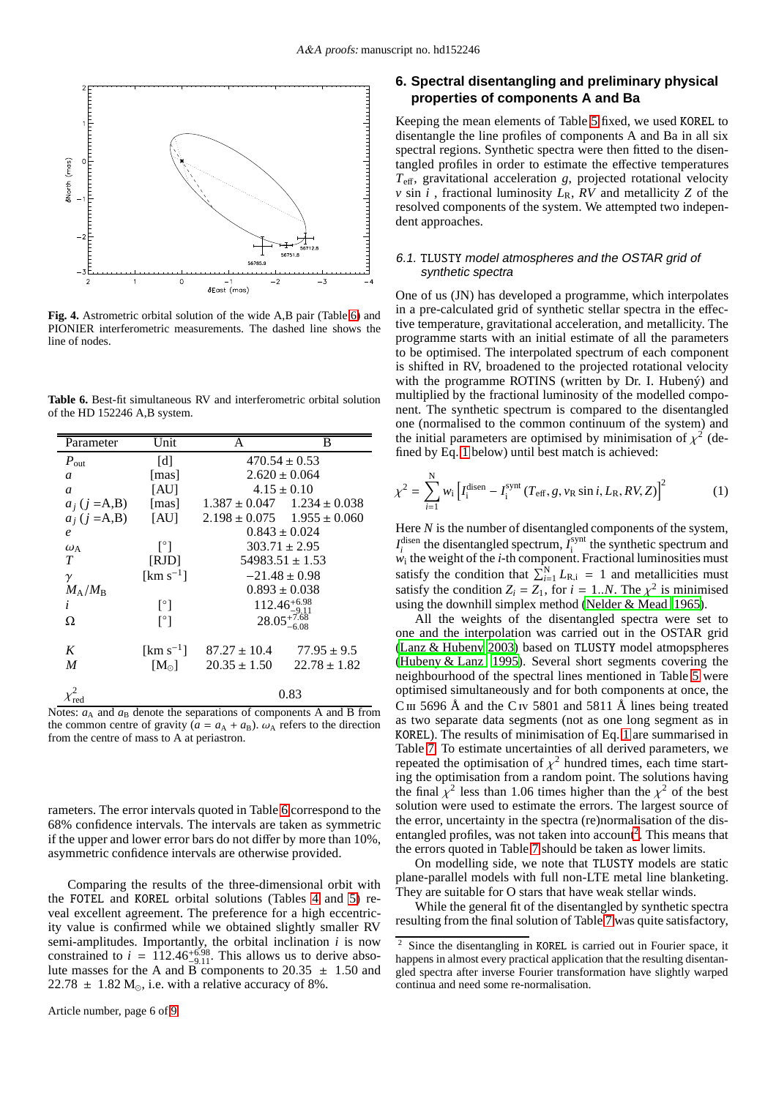

<span id="page-5-0"></span>**Fig. 4.** Astrometric orbital solution of the wide A,B pair (Table [6\)](#page-5-1) and PIONIER interferometric measurements. The dashed line shows the line of nodes.

**Table 6.** Best-fit simultaneous RV and interferometric orbital solution of the HD 152246 A,B system.

<span id="page-5-1"></span>

| Parameter                   | Unit                    | A                | B                                   |
|-----------------------------|-------------------------|------------------|-------------------------------------|
| $P_{\text{out}}$            | [d]                     |                  | $470.54 \pm 0.53$                   |
| a                           | [mas]                   |                  | $2.620 \pm 0.064$                   |
| a                           | [AU]                    |                  | $4.15 \pm 0.10$                     |
| $a_j$ (j = A, B)            | [mas]                   |                  | $1.387 \pm 0.047$ $1.234 \pm 0.038$ |
| $a_i$ (j = A,B)             | <b>TAUT</b>             |                  | $2.198 \pm 0.075$ $1.955 \pm 0.060$ |
| $\boldsymbol{e}$            |                         |                  | $0.843 \pm 0.024$                   |
| $\omega_{\rm A}$            | Γ°Τ                     |                  | $303.71 \pm 2.95$                   |
| T                           | [RJD]                   |                  | $54983.51 \pm 1.53$                 |
| $\gamma$                    | $\mathrm{[km\,s^{-1}]}$ |                  | $-21.48 \pm 0.98$                   |
| $M_\mathrm{A}/M_\mathrm{B}$ |                         |                  | $0.893 \pm 0.038$                   |
| i                           | $\lceil^{\circ} \rceil$ |                  | $112.46^{+6.98}_{-9.11}$            |
| Ω                           | [°]                     |                  | $28.05^{+7.68}_{-8.05}$             |
|                             |                         |                  |                                     |
| K                           | [ $km s^{-1}$ ]         | $87.27 \pm 10.4$ | $77.95 \pm 9.5$                     |
| M                           | $[M_{\odot}]$           | $20.35 \pm 1.50$ | $22.78 \pm 1.82$                    |
|                             |                         |                  | 0.83                                |

Notes:  $a_A$  and  $a_B$  denote the separations of components A and B from the common centre of gravity ( $a = a_A + a_B$ ).  $\omega_A$  refers to the direction from the centre of mass to A at periastron.

rameters. The error intervals quoted in Table [6](#page-5-1) correspond to the 68% confidence intervals. The intervals are taken as symmetric if the upper and lower error bars do not differ by more than 10%, asymmetric confidence intervals are otherwise provided.

Comparing the results of the three-dimensional orbit with the FOTEL and KOREL orbital solutions (Tables [4](#page-4-0) and [5\)](#page-4-1) reveal excellent agreement. The preference for a high eccentricity value is confirmed while we obtained slightly smaller RV semi-amplitudes. Importantly, the orbital inclination *i* is now constrained to  $i = 112.46^{+6.98}_{-9.11}$ . This allows us to derive absolute masses for the A and B components to 20.35  $\pm$  1.50 and 22.78  $\pm$  1.82 M<sub>☉</sub>, i.e. with a relative accuracy of 8%.

# **6. Spectral disentangling and preliminary physical properties of components A and Ba**

Keeping the mean elements of Table [5](#page-4-1) fixed, we used KOREL to disentangle the line profiles of components A and Ba in all six spectral regions. Synthetic spectra were then fitted to the disentangled profiles in order to estimate the effective temperatures *T*eff, gravitational acceleration *g*, projected rotational velocity *v* sin *i*, fractional luminosity  $L_R$ ,  $RV$  and metallicity  $Z$  of the resolved components of the system. We attempted two independent approaches.

#### 6.1. TLUSTY model atmospheres and the OSTAR grid of synthetic spectra

One of us (JN) has developed a programme, which interpolates in a pre-calculated grid of synthetic stellar spectra in the effective temperature, gravitational acceleration, and metallicity. The programme starts with an initial estimate of all the parameters to be optimised. The interpolated spectrum of each component is shifted in RV, broadened to the projected rotational velocity with the programme ROTINS (written by Dr. I. Hubený) and multiplied by the fractional luminosity of the modelled component. The synthetic spectrum is compared to the disentangled one (normalised to the common continuum of the system) and the initial parameters are optimised by minimisation of  $\chi^2$  (defined by Eq. [1](#page-5-2) below) until best match is achieved:

<span id="page-5-2"></span>
$$
\chi^{2} = \sum_{i=1}^{N} w_{i} \left[ I_{i}^{\text{disen}} - I_{i}^{\text{synt}} (T_{\text{eff}}, g, v_{\text{R}} \sin i, L_{\text{R}}, RV, Z) \right]^{2}
$$
(1)

Here *N* is the number of disentangled components of the system,  $I_i^{\text{disen}}$  the disentangled spectrum,  $I_i^{\text{synt}}$  $t_i$  the synthetic spectrum and *w*i the weight of the *i*-th component. Fractional luminosities must satisfy the condition that  $\sum_{i=1}^{N} L_{R,i} = 1$  and metallicities must satisfy the condition  $Z_i = Z_1$ , for  $i = 1..N$ . The  $\chi^2$  is minimised using the downhill simplex method [\(Nelder & Mead 1965\)](#page-8-32).

All the weights of the disentangled spectra were set to one and the interpolation was carried out in the OSTAR grid [\(Lanz & Hubeny 2003](#page-8-33)) based on TLUSTY model atmopspheres [\(Hubeny & Lanz 1995\)](#page-8-34). Several short segments covering the neighbourhood of the spectral lines mentioned in Table [5](#page-4-1) were optimised simultaneously and for both components at once, the C<sub>III</sub> 5696 Å and the C<sub>IV</sub> 5801 and 5811 Å lines being treated as two separate data segments (not as one long segment as in KOREL). The results of minimisation of Eq. [1](#page-5-2) are summarised in Table [7.](#page-6-0) To estimate uncertainties of all derived parameters, we repeated the optimisation of  $\chi^2$  hundred times, each time starting the optimisation from a random point. The solutions having the final  $\chi^2$  less than 1.06 times higher than the  $\chi^2$  of the best solution were used to estimate the errors. The largest source of the error, uncertainty in the spectra (re)normalisation of the dis-entangled profiles, was not taken into account<sup>[2](#page-5-3)</sup>. This means that the errors quoted in Table [7](#page-6-0) should be taken as lower limits.

On modelling side, we note that TLUSTY models are static plane-parallel models with full non-LTE metal line blanketing. They are suitable for O stars that have weak stellar winds.

While the general fit of the disentangled by synthetic spectra resulting from the final solution of Table [7](#page-6-0) was quite satisfactory,

<span id="page-5-3"></span>Since the disentangling in KOREL is carried out in Fourier space, it happens in almost every practical application that the resulting disentangled spectra after inverse Fourier transformation have slightly warped continua and need some re-normalisation.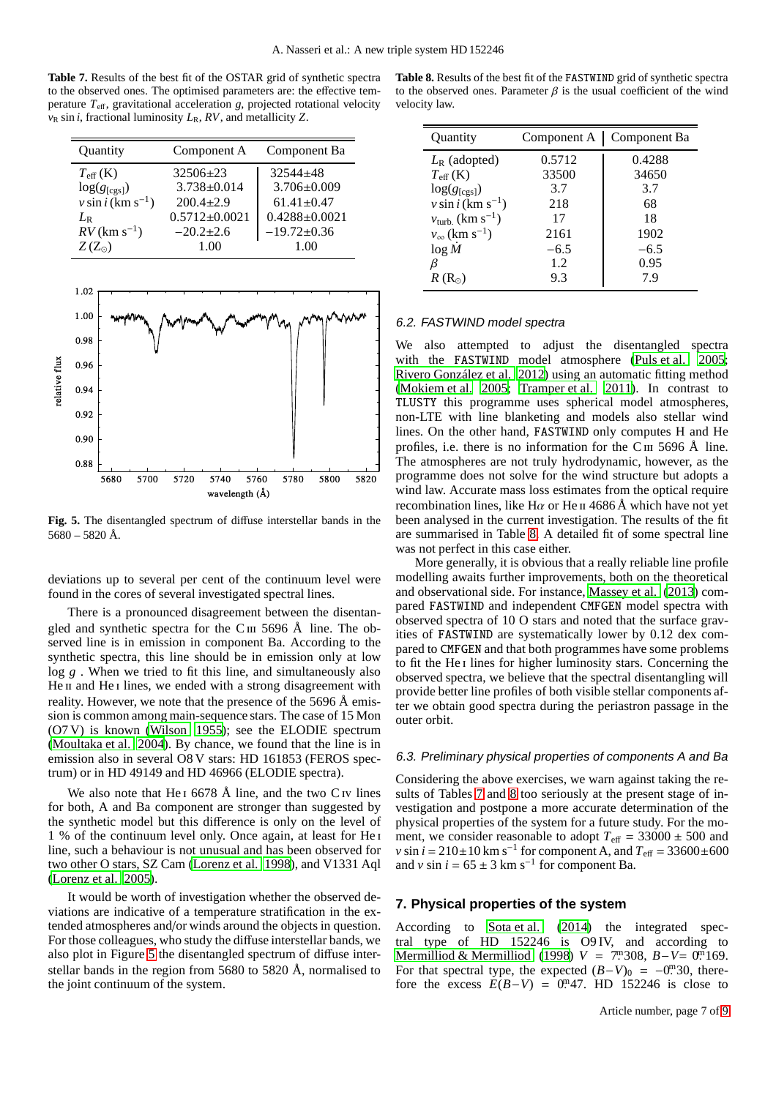<span id="page-6-0"></span>**Table 7.** Results of the best fit of the OSTAR grid of synthetic spectra to the observed ones. The optimised parameters are: the effective temperature *T*eff, gravitational acceleration *g*, projected rotational velocity  $v_R \sin i$ , fractional luminosity  $L_R$ ,  $RV$ , and metallicity *Z*.

| Quantity                         | Component A         | Component Ba        |
|----------------------------------|---------------------|---------------------|
| $T_{\rm eff}$ (K)                | $32506 \pm 23$      | $32544 + 48$        |
| $log(g_{[cgs]})$                 | $3.738 \pm 0.014$   | $3.706 \pm 0.009$   |
| $v \sin i$ (km s <sup>-1</sup> ) | $200.4 \pm 2.9$     | $61.41 \pm 0.47$    |
| $L_{\rm R}$                      | $0.5712 \pm 0.0021$ | $0.4288 \pm 0.0021$ |
| $RV$ (km s <sup>-1</sup> )       | $-20.2 \pm 2.6$     | $-19.72 \pm 0.36$   |
| $Z(Z_{\odot})$                   | 1.00                | 1.00                |



<span id="page-6-1"></span>**Fig. 5.** The disentangled spectrum of diffuse interstellar bands in the  $5680 - 5820$  Å.

deviations up to several per cent of the continuum level were found in the cores of several investigated spectral lines.

There is a pronounced disagreement between the disentangled and synthetic spectra for the C $\text{III}$  5696 Å line. The observed line is in emission in component Ba. According to the synthetic spectra, this line should be in emission only at low log *g* . When we tried to fit this line, and simultaneously also He II and He I lines, we ended with a strong disagreement with reality. However, we note that the presence of the 5696 Å emission is common among main-sequence stars. The case of 15 Mon (O7 V) is known [\(Wilson 1955\)](#page-8-35); see the ELODIE spectrum [\(Moultaka et al. 2004\)](#page-8-36). By chance, we found that the line is in emission also in several O8 V stars: HD 161853 (FEROS spectrum) or in HD 49149 and HD 46966 (ELODIE spectra).

We also note that He<sub>1</sub> 6678  $\AA$  line, and the two C<sub>IV</sub> lines for both, A and Ba component are stronger than suggested by the synthetic model but this difference is only on the level of 1 % of the continuum level only. Once again, at least for He i line, such a behaviour is not unusual and has been observed for two other O stars, SZ Cam [\(Lorenz et al. 1998\)](#page-8-37), and V1331 Aql [\(Lorenz et al. 2005](#page-8-38)).

It would be worth of investigation whether the observed deviations are indicative of a temperature stratification in the extended atmospheres and/or winds around the objects in question. For those colleagues, who study the diffuse interstellar bands, we also plot in Figure [5](#page-6-1) the disentangled spectrum of diffuse interstellar bands in the region from 5680 to 5820 Å, normalised to the joint continuum of the system.

<span id="page-6-2"></span>

| Table 8. Results of the best fit of the FASTWIND grid of synthetic spectra   |
|------------------------------------------------------------------------------|
| to the observed ones. Parameter $\beta$ is the usual coefficient of the wind |
| velocity law.                                                                |

| Quantity                                 | Component A | Component Ba |
|------------------------------------------|-------------|--------------|
| $L_{\rm R}$ (adopted)                    | 0.5712      | 0.4288       |
| $T_{\rm eff}$ (K)                        | 33500       | 34650        |
| $log(g_{[cgs]})$                         | 3.7         | 3.7          |
| $v \sin i$ (km s <sup>-1</sup> )         | 218         | 68           |
| $v_{\text{turb.}}$ (km s <sup>-1</sup> ) | 17          | 18           |
| $v_{\infty}$ (km s <sup>-1</sup> )       | 2161        | 1902         |
| $log\ M$                                 | $-6.5$      | $-6.5$       |
| ß                                        | 1.2         | 0.95         |
| $R(R_{\odot})$                           | 9.3         | 7.9          |

#### 6.2. FASTWIND model spectra

We also attempted to adjust the disentangled spectra with the FASTWIND model atmosphere [\(Puls et al. 2005;](#page-8-39) [Rivero González et al. 2012](#page-8-40)) using an automatic fitting method [\(Mokiem et al. 2005](#page-8-41); [Tramper et al. 2011](#page-8-42)). In contrast to TLUSTY this programme uses spherical model atmospheres, non-LTE with line blanketing and models also stellar wind lines. On the other hand, FASTWIND only computes H and He profiles, i.e. there is no information for the C $\text{II}$  5696 Å line. The atmospheres are not truly hydrodynamic, however, as the programme does not solve for the wind structure but adopts a wind law. Accurate mass loss estimates from the optical require recombination lines, like H $\alpha$  or He ii 4686 Å which have not yet been analysed in the current investigation. The results of the fit are summarised in Table [8.](#page-6-2) A detailed fit of some spectral line was not perfect in this case either.

More generally, it is obvious that a really reliable line profile modelling awaits further improvements, both on the theoretical and observational side. For instance, [Massey et al. \(2013](#page-8-43)) compared FASTWIND and independent CMFGEN model spectra with observed spectra of 10 O stars and noted that the surface gravities of FASTWIND are systematically lower by 0.12 dex compared to CMFGEN and that both programmes have some problems to fit the He i lines for higher luminosity stars. Concerning the observed spectra, we believe that the spectral disentangling will provide better line profiles of both visible stellar components after we obtain good spectra during the periastron passage in the outer orbit.

#### 6.3. Preliminary physical properties of components <sup>A</sup> and Ba

Considering the above exercises, we warn against taking the results of Tables [7](#page-6-0) and [8](#page-6-2) too seriously at the present stage of investigation and postpone a more accurate determination of the physical properties of the system for a future study. For the moment, we consider reasonable to adopt  $T_{\text{eff}} = 33000 \pm 500$  and *v* sin *i* = 210±10 km s<sup>-1</sup> for component A, and  $T_{\text{eff}}$  = 33600±600 and *v* sin  $i = 65 \pm 3$  km s<sup>-1</sup> for component Ba.

## **7. Physical properties of the system**

According to [Sota et al. \(2014\)](#page-8-44) the integrated spectral type of HD 152246 is O9 IV, and according to [Mermilliod & Mermilliod](#page-8-20) [\(1998\)](#page-8-20) *V* = 7<sup>m</sup>308, *B*−*V*= 0<sup>m</sup>169. For that spectral type, the expected  $(B-V)_0 = -0$ . 30, therefore the excess  $E(B-V) = 0^{m}47$ . HD 152246 is close to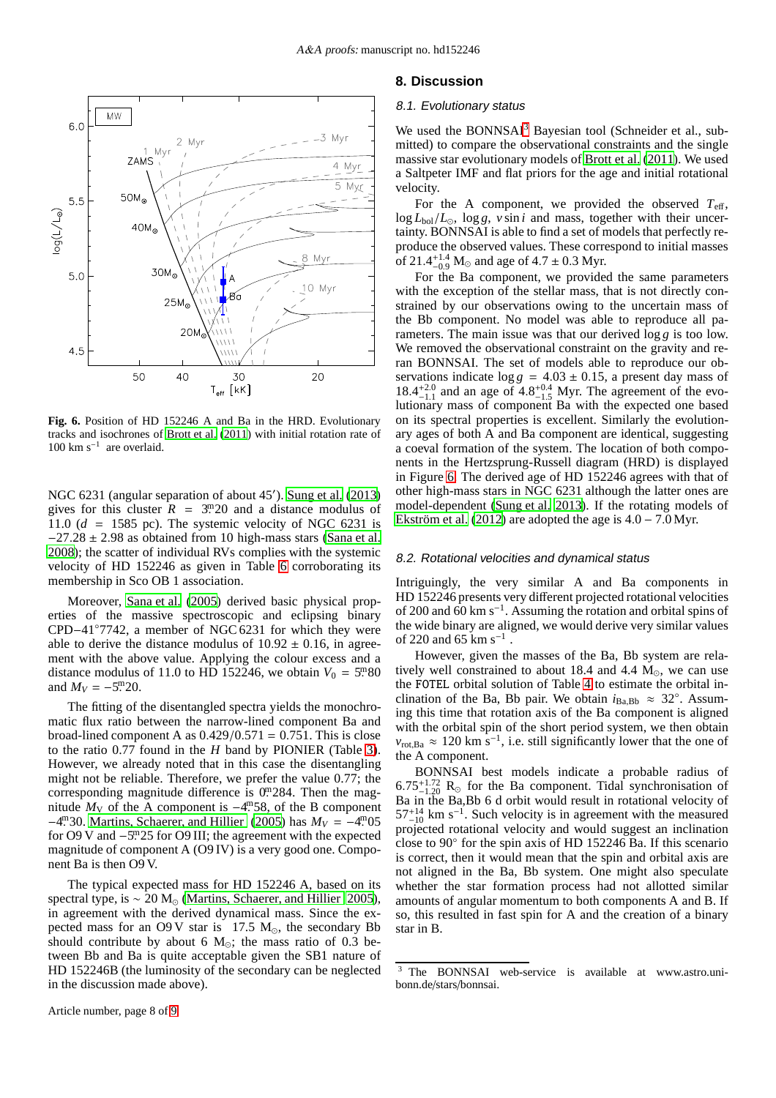

<span id="page-7-1"></span>**Fig. 6.** Position of HD 152246 A and Ba in the HRD. Evolutionary tracks and isochrones of [Brott et al.](#page-8-45) [\(2011](#page-8-45)) with initial rotation rate of 100 km s<sup>−</sup><sup>1</sup> are overlaid.

NGC 6231 (angular separation of about 45′ ). [Sung et al.](#page-8-0) [\(2013\)](#page-8-0) gives for this cluster  $\bar{R} = 3^{m}20$  and a distance modulus of 11.0  $(d = 1585 \text{ pc})$ . The systemic velocity of NGC 6231 is  $-27.28 \pm 2.98$  as obtained from 10 high-mass stars [\(Sana et al.](#page-8-46) [2008\)](#page-8-46); the scatter of individual RVs complies with the systemic velocity of HD 152246 as given in Table [6](#page-5-1) corroborating its membership in Sco OB 1 association.

Moreover, [Sana et al. \(2005](#page-8-47)) derived basic physical properties of the massive spectroscopic and eclipsing binary CPD−41◦7742, a member of NGC 6231 for which they were able to derive the distance modulus of  $10.92 \pm 0.16$ , in agreement with the above value. Applying the colour excess and a distance modulus of 11.0 to HD 152246, we obtain  $V_0 = 5^{\text{m}}80$ and  $M_V = -5.5 \cdot 20$ .

The fitting of the disentangled spectra yields the monochromatic flux ratio between the narrow-lined component Ba and broad-lined component A as  $0.429/0.571 = 0.751$ . This is close to the ratio 0.77 found in the *H* band by PIONIER (Table [3\)](#page-3-0). However, we already noted that in this case the disentangling might not be reliable. Therefore, we prefer the value 0.77; the corresponding magnitude difference is  $0<sup>m</sup>284$ . Then the magnitude  $M_V$  of the A component is  $-4$ <sup>m</sup>58, of the B component −4<sup>m</sup>30. [Martins, Schaerer, and Hillier](#page-8-48) [\(2005\)](#page-8-48) has  $M_V = -4.05$ for O9 V and -5<sup>m</sup>25 for O9 III; the agreement with the expected magnitude of component A (O9 IV) is a very good one. Component Ba is then O9 V.

The typical expected mass for HD 152246 A, based on its spectral type, is  $\sim 20$  M<sub>☉</sub> [\(Martins, Schaerer, and Hillier 2005](#page-8-48)), in agreement with the derived dynamical mass. Since the expected mass for an O9 V star is 17.5  $M_{\odot}$ , the secondary Bb should contribute by about 6  $M_{\odot}$ ; the mass ratio of 0.3 between Bb and Ba is quite acceptable given the SB1 nature of HD 152246B (the luminosity of the secondary can be neglected in the discussion made above).

## **8. Discussion**

#### 8.1. Evolutionary status

We used the BONNSAI<sup>[3](#page-7-0)</sup> Bayesian tool (Schneider et al., submitted) to compare the observational constraints and the single massive star evolutionary models of [Brott et al.](#page-8-45) [\(2011\)](#page-8-45). We used a Saltpeter IMF and flat priors for the age and initial rotational velocity.

For the A component, we provided the observed  $T_{\text{eff}}$ , log *L*bol/*L*⊙, log *g*, *v* sin *i* and mass, together with their uncertainty. BONNSAI is able to find a set of models that perfectly reproduce the observed values. These correspond to initial masses of 21.4<sup>+1.4</sup> M<sub>☉</sub> and age of 4.7 ± 0.3 Myr.

For the Ba component, we provided the same parameters with the exception of the stellar mass, that is not directly constrained by our observations owing to the uncertain mass of the Bb component. No model was able to reproduce all parameters. The main issue was that our derived log *g* is too low. We removed the observational constraint on the gravity and reran BONNSAI. The set of models able to reproduce our observations indicate  $\log g = 4.03 \pm 0.15$ , a present day mass of  $18.4^{+2.0}_{-1.1}$  and an age of  $4.8^{+0.4}_{-1.5}$  Myr. The agreement of the evolutionary mass of component Ba with the expected one based on its spectral properties is excellent. Similarly the evolutionary ages of both A and Ba component are identical, suggesting a coeval formation of the system. The location of both components in the Hertzsprung-Russell diagram (HRD) is displayed in Figure [6.](#page-7-1) The derived age of HD 152246 agrees with that of other high-mass stars in NGC 6231 although the latter ones are model-dependent [\(Sung et al. 2013\)](#page-8-0). If the rotating models of [Ekström et al.](#page-8-49) [\(2012\)](#page-8-49) are adopted the age is  $4.0 - 7.0$  Myr.

#### 8.2. Rotational velocities and dynamical status

Intriguingly, the very similar A and Ba components in HD 152246 presents very different projected rotational velocities of 200 and 60 km s−<sup>1</sup> . Assuming the rotation and orbital spins of the wide binary are aligned, we would derive very similar values of 220 and 65  $\rm km\;s^{-1}$ .

However, given the masses of the Ba, Bb system are relatively well constrained to about 18.4 and 4.4  $M_{\odot}$ , we can use the FOTEL orbital solution of Table [4](#page-4-0) to estimate the orbital inclination of the Ba, Bb pair. We obtain  $i_{Ba,Bb} \approx 32^\circ$ . Assuming this time that rotation axis of the Ba component is aligned with the orbital spin of the short period system, we then obtain  $v_{\text{rot},Ba} \approx 120 \text{ km s}^{-1}$ , i.e. still significantly lower that the one of the A component.

BONNSAI best models indicate a probable radius of  $6.75_{-1.20}^{+1.72}$  R<sub>☉</sub> for the Ba component. Tidal synchronisation of Ba in the Ba,Bb 6 d orbit would result in rotational velocity of  $57^{+14}_{-10}$  km s<sup>-1</sup>. Such velocity is in agreement with the measured projected rotational velocity and would suggest an inclination close to 90◦ for the spin axis of HD 152246 Ba. If this scenario is correct, then it would mean that the spin and orbital axis are not aligned in the Ba, Bb system. One might also speculate whether the star formation process had not allotted similar amounts of angular momentum to both components A and B. If so, this resulted in fast spin for A and the creation of a binary star in B.

<span id="page-7-0"></span><sup>3</sup> The BONNSAI web-service is available at www.astro.unibonn.de/stars/bonnsai.